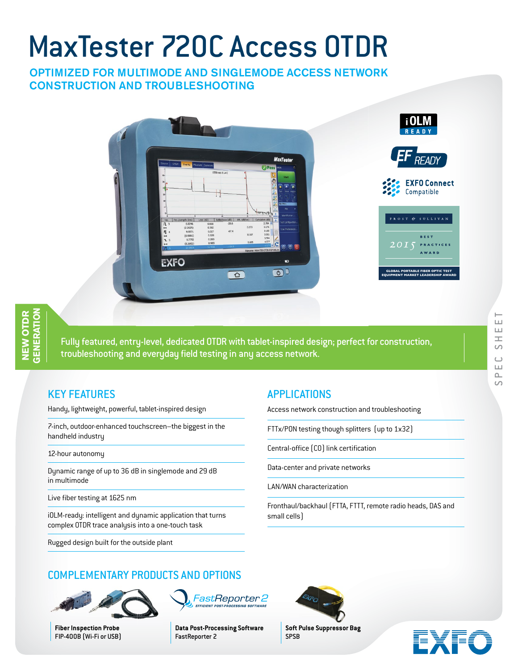# MaxTester 720C Access OTDR

## OPTIMIZED FOR MULTIMODE AND SINGLEMODE ACCESS NETWORK CONSTRUCTION AND TROUBLESHOOTING



Fully featured, entry-level, dedicated OTDR with tablet-inspired design; perfect for construction, troubleshooting and everyday field testing in any access network.

# KEY FEATURES

Handy, lightweight, powerful, tablet-inspired design

7-inch, outdoor-enhanced touchscreen–the biggest in the handheld industry

#### 12-hour autonomy

Dynamic range of up to 36 dB in singlemode and 29 dB in multimode

Live fiber testing at 1625 nm

iOLM-ready: intelligent and dynamic application that turns complex OTDR trace analysis into a one-touch task

Rugged design built for the outside plant

# APPLICATIONS

Access network construction and troubleshooting

FTTx/PON testing though splitters (up to 1x32)

Central-office (CO) link certification

Data-center and private networks

LAN/WAN characterization

Fronthaul/backhaul (FTTA, FTTT, remote radio heads, DAS and small cells)



# COMPLEMENTARY PRODUCTS AND OPTIONS



**Fiber Inspection Probe** FIP-400B (Wi-Fi or USB) FastReporter 2 **EFFICIENT POST-P** 

**Data Post-Processing Software** FastReporter 2



**Soft Pulse Suppressor Bag** SPSB

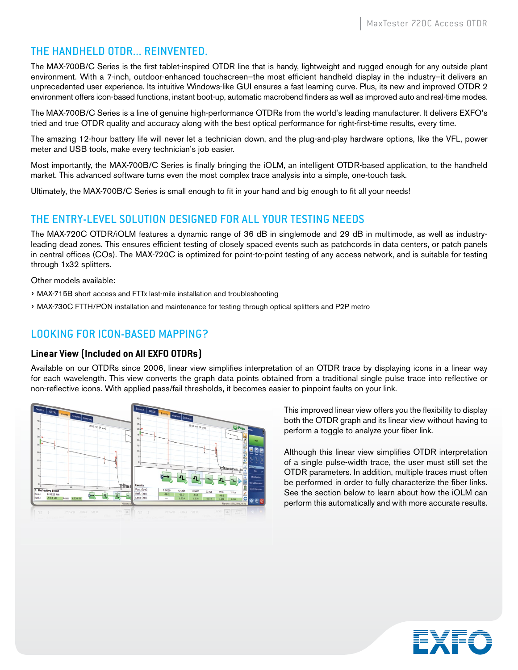## THE HANDHELD OTDR... REINVENTED.

The MAX-700B/C Series is the first tablet-inspired OTDR line that is handy, lightweight and rugged enough for any outside plant environment. With a 7-inch, outdoor-enhanced touchscreen–the most efficient handheld display in the industry–it delivers an unprecedented user experience. Its intuitive Windows-like GUI ensures a fast learning curve. Plus, its new and improved OTDR 2 environment offers icon-based functions, instant boot-up, automatic macrobend finders as well as improved auto and real-time modes.

The MAX-700B/C Series is a line of genuine high-performance OTDRs from the world's leading manufacturer. It delivers EXFO's tried and true OTDR quality and accuracy along with the best optical performance for right-first-time results, every time.

The amazing 12-hour battery life will never let a technician down, and the plug-and-play hardware options, like the VFL, power meter and USB tools, make every technician's job easier.

Most importantly, the MAX-700B/C Series is finally bringing the iOLM, an intelligent OTDR-based application, to the handheld market. This advanced software turns even the most complex trace analysis into a simple, one-touch task.

Ultimately, the MAX-700B/C Series is small enough to fit in your hand and big enough to fit all your needs!

## THE ENTRY-LEVEL SOLUTION DESIGNED FOR ALL YOUR TESTING NEEDS

The MAX-720C OTDR/iOLM features a dynamic range of 36 dB in singlemode and 29 dB in multimode, as well as industryleading dead zones. This ensures efficient testing of closely spaced events such as patchcords in data centers, or patch panels in central offices (COs). The MAX-720C is optimized for point-to-point testing of any access network, and is suitable for testing through 1x32 splitters.

Other models available:

- › MAX-715B short access and FTTx last-mile installation and troubleshooting
- › MAX-730C FTTH/PON installation and maintenance for testing through optical splitters and P2P metro

# LOOKING FOR ICON-BASED MAPPING?

### **Linear View (Included on All EXFO OTDRs)**

Available on our OTDRs since 2006, linear view simplifies interpretation of an OTDR trace by displaying icons in a linear way for each wavelength. This view converts the graph data points obtained from a traditional single pulse trace into reflective or non-reflective icons. With applied pass/fail thresholds, it becomes easier to pinpoint faults on your link.



This improved linear view offers you the flexibility to display both the OTDR graph and its linear view without having to perform a toggle to analyze your fiber link.

Although this linear view simplifies OTDR interpretation of a single pulse-width trace, the user must still set the OTDR parameters. In addition, multiple traces must often be performed in order to fully characterize the fiber links. See the section below to learn about how the iOLM can perform this automatically and with more accurate results.

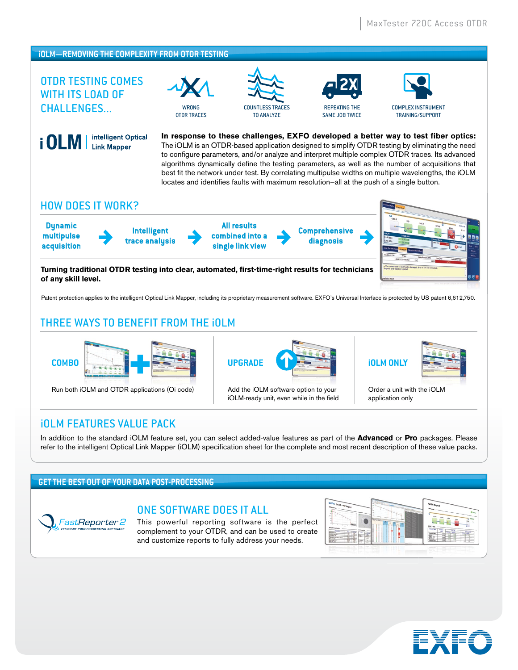#### **iOLM—REMOVING THE COMPLEXITY FROM OTDR TESTING**  $X$   $\frac{1}{2}$   $\frac{1}{2}$   $\frac{1}{2}$   $\frac{2X}{2}$ OTDR TESTING COMES WITH ITS LOAD OF CHALLENGES... COUNTLESS TRACES COMPLEX INSTRUMENT WRONG REPEATING THE OTDR TRACES TO ANALYZE SAME JOB TWICE TRAINING/SUPPORT intelligent Optical **In response to these challenges, EXFO developed a better way to test fiber optics:**  i OLM | The iOLM is an OTDR-based application designed to simplify OTDR testing by eliminating the need **Link Mapper** to configure parameters, and/or analyze and interpret multiple complex OTDR traces. Its advanced algorithms dynamically define the testing parameters, as well as the number of acquisitions that best fit the network under test. By correlating multipulse widths on multiple wavelengths, the iOLM locates and identifies faults with maximum resolution—all at the push of a single button.

## HOW DOES IT WORK?

**Dynamic multipulse acquisition**

**Intelligent trace analysis**

**All results combined into a single link view**

**Comprehensive diagnosis**



**Turning traditional OTDR testing into clear, automated, first-time-right results for technicians of any skill level.**

Patent protection applies to the intelligent Optical Link Mapper, including its proprietary measurement software. EXFO's Universal Interface is protected by US patent 6,612,750.

# THREE WAYS TO BENEFIT FROM THE iOLM



Run both iOLM and OTDR applications (Oi code) Add the iOLM software option to your



iOLM-ready unit, even while in the field



Order a unit with the iOLM application only

# iOLM FEATURES VALUE PACK

In addition to the standard iOLM feature set, you can select added-value features as part of the **Advanced** or **Pro** packages. Please refer to the intelligent Optical Link Mapper (iOLM) specification sheet for the complete and most recent description of these value packs.

## **GET THE BEST OUT OF YOUR DATA POST-PROCESSING**

#### ONE SOFTWARE DOES IT ALL FastReporter 2

This powerful reporting software is the perfect complement to your OTDR, and can be used to create and customize reports to fully address your needs.



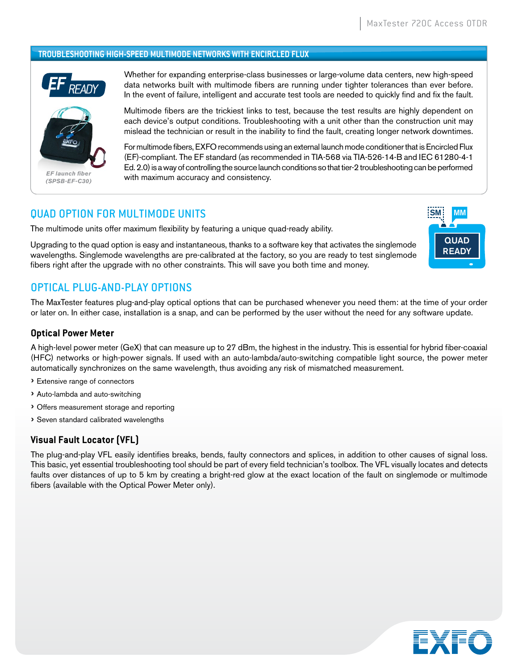#### **TROUBLESHOOTING HIGH-SPEED MULTIMODE NETWORKS WITH ENCIRCLED FLUX**



Whether for expanding enterprise-class businesses or large-volume data centers, new high-speed data networks built with multimode fibers are running under tighter tolerances than ever before. In the event of failure, intelligent and accurate test tools are needed to quickly find and fix the fault.

Multimode fibers are the trickiest links to test, because the test results are highly dependent on each device's output conditions. Troubleshooting with a unit other than the construction unit may mislead the technician or result in the inability to find the fault, creating longer network downtimes.

For multimode fibers, EXFO recommends using an external launch mode conditioner that is Encircled Flux (EF)-compliant. The EF standard (as recommended in TIA-568 via TIA-526-14-B and IEC 61280-4-1 Ed. 2.0) is a way of controlling the source launch conditions so that tier-2 troubleshooting can be performed with maximum accuracy and consistency.

## QUAD OPTION FOR MULTIMODE UNITS

The multimode units offer maximum flexibility by featuring a unique quad-ready ability.

Upgrading to the quad option is easy and instantaneous, thanks to a software key that activates the singlemode wavelengths. Singlemode wavelengths are pre-calibrated at the factory, so you are ready to test singlemode fibers right after the upgrade with no other constraints. This will save you both time and money.



## OPTICAL PLUG-AND-PLAY OPTIONS

The MaxTester features plug-and-play optical options that can be purchased whenever you need them: at the time of your order or later on. In either case, installation is a snap, and can be performed by the user without the need for any software update.

#### **Optical Power Meter**

A high-level power meter (GeX) that can measure up to 27 dBm, the highest in the industry. This is essential for hybrid fiber-coaxial (HFC) networks or high-power signals. If used with an auto-lambda/auto-switching compatible light source, the power meter automatically synchronizes on the same wavelength, thus avoiding any risk of mismatched measurement.

- › Extensive range of connectors
- › Auto-lambda and auto-switching
- › Offers measurement storage and reporting
- › Seven standard calibrated wavelengths

### **Visual Fault Locator (VFL)**

The plug-and-play VFL easily identifies breaks, bends, faulty connectors and splices, in addition to other causes of signal loss. This basic, yet essential troubleshooting tool should be part of every field technician's toolbox. The VFL visually locates and detects faults over distances of up to 5 km by creating a bright-red glow at the exact location of the fault on singlemode or multimode fibers (available with the Optical Power Meter only).

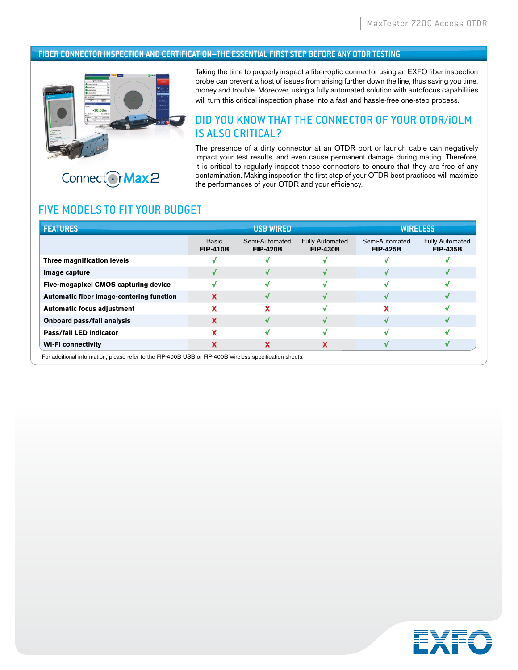#### **FIBER CONNECTOR INSPECTION AND CERTIFICATION–THE ESSENTIAL FIRST STEP BEFORE ANY OTDR TESTING**



Connect OrMax 2

Taking the time to properly inspect a fiber-optic connector using an EXFO fiber inspection probe can prevent a host of issues from arising further down the line, thus saving you time, money and trouble. Moreover, using a fully automated solution with autofocus capabilities will turn this critical inspection phase into a fast and hassle-free one-step process.

## DID YOU KNOW THAT THE CONNECTOR OF YOUR OTDR/iOLM IS ALSO CRITICAL?

The presence of a dirty connector at an OTDR port or launch cable can negatively impact your test results, and even cause permanent damage during mating. Therefore, it is critical to regularly inspect these connectors to ensure that they are free of any contamination. Making inspection the first step of your OTDR best practices will maximize the performances of your OTDR and your efficiency.

## FIVE MODELS TO FIT YOUR BUDGET

| <b>FEATURES</b>                          |                                 | <b>USB WIRED</b>                  |                                           |                                   | <b>WIRELESS</b>                           |
|------------------------------------------|---------------------------------|-----------------------------------|-------------------------------------------|-----------------------------------|-------------------------------------------|
|                                          | <b>Basic</b><br><b>FIP-410B</b> | Semi-Automated<br><b>FIP-420B</b> | <b>Fully Automated</b><br><b>FIP-430B</b> | Semi-Automated<br><b>FIP-425B</b> | <b>Fully Automated</b><br><b>FIP-435B</b> |
| Three magnification levels               |                                 |                                   |                                           |                                   |                                           |
| Image capture                            |                                 |                                   |                                           |                                   |                                           |
| Five-megapixel CMOS capturing device     |                                 |                                   |                                           |                                   |                                           |
| Automatic fiber image-centering function | x                               |                                   | N                                         |                                   |                                           |
| <b>Automatic focus adjustment</b>        |                                 |                                   |                                           |                                   |                                           |
| Onboard pass/fail analysis               |                                 |                                   |                                           |                                   |                                           |
| Pass/fail LED indicator                  |                                 |                                   | w                                         |                                   |                                           |
| <b>Wi-Fi connectivity</b>                |                                 |                                   | ⋏                                         |                                   |                                           |

For additional information, please refer to the FIP-400B USB or FIP-400B wireless specification sheets.

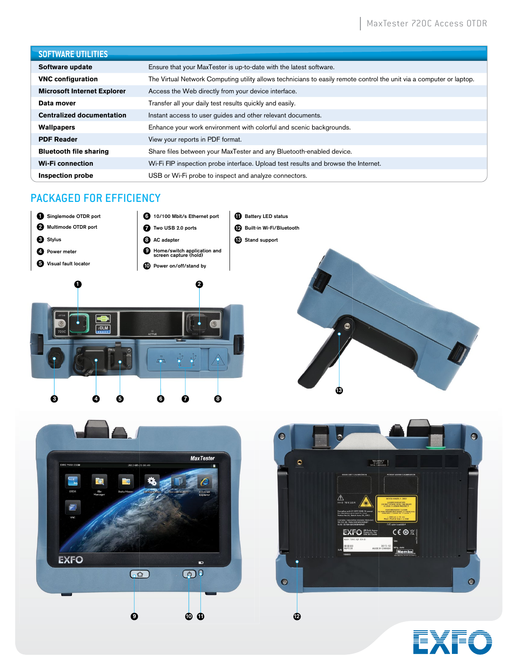### **SOFTWARE UTILITIES**

| <u>JULINANE VIIEIIIEJ</u>          |                                                                                                                      |  |  |
|------------------------------------|----------------------------------------------------------------------------------------------------------------------|--|--|
| Software update                    | Ensure that your MaxTester is up-to-date with the latest software.                                                   |  |  |
| <b>VNC configuration</b>           | The Virtual Network Computing utility allows technicians to easily remote control the unit via a computer or laptop. |  |  |
| <b>Microsoft Internet Explorer</b> | Access the Web directly from your device interface.                                                                  |  |  |
| Data mover                         | Transfer all your daily test results quickly and easily.                                                             |  |  |
| <b>Centralized documentation</b>   | Instant access to user guides and other relevant documents.                                                          |  |  |
| <b>Wallpapers</b>                  | Enhance your work environment with colorful and scenic backgrounds.                                                  |  |  |
| <b>PDF Reader</b>                  | View your reports in PDF format.                                                                                     |  |  |
| <b>Bluetooth file sharing</b>      | Share files between your MaxTester and any Bluetooth-enabled device.                                                 |  |  |
| <b>Wi-Fi</b> connection            | Wi-Fi FIP inspection probe interface. Upload test results and browse the Internet.                                   |  |  |
| Inspection probe                   | USB or Wi-Fi probe to inspect and analyze connectors.                                                                |  |  |

# PACKAGED FOR EFFICIENCY









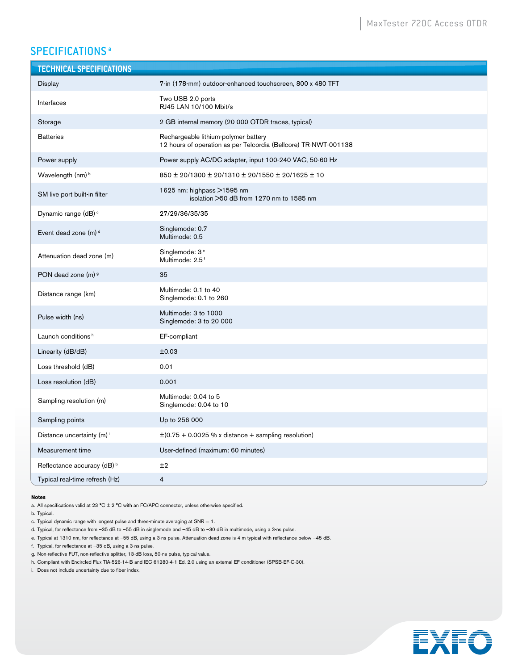# SPECIFICATIONS<sup>a</sup>

| <b>TECHNICAL SPECIFICATIONS</b>       |                                                                                                         |
|---------------------------------------|---------------------------------------------------------------------------------------------------------|
| Display                               | 7-in (178-mm) outdoor-enhanced touchscreen, 800 x 480 TFT                                               |
| Interfaces                            | Two USB 2.0 ports<br>RJ45 LAN 10/100 Mbit/s                                                             |
| Storage                               | 2 GB internal memory (20 000 OTDR traces, typical)                                                      |
| <b>Batteries</b>                      | Rechargeable lithium-polymer battery<br>12 hours of operation as per Telcordia (Bellcore) TR-NWT-001138 |
| Power supply                          | Power supply AC/DC adapter, input 100-240 VAC, 50-60 Hz                                                 |
| Wavelength (nm) <sup>b</sup>          | 850 ± 20/1300 ± 20/1310 ± 20/1550 ± 20/1625 ± 10                                                        |
| SM live port built-in filter          | 1625 nm: highpass >1595 nm<br>isolation >50 dB from 1270 nm to 1585 nm                                  |
| Dynamic range (dB) <sup>c</sup>       | 27/29/36/35/35                                                                                          |
| Event dead zone (m) <sup>d</sup>      | Singlemode: 0.7<br>Multimode: 0.5                                                                       |
| Attenuation dead zone (m)             | Singlemode: 3 <sup>e</sup><br>Multimode: 2.5 <sup>f</sup>                                               |
| PON dead zone (m) 9                   | 35                                                                                                      |
| Distance range (km)                   | Multimode: 0.1 to 40<br>Singlemode: 0.1 to 260                                                          |
| Pulse width (ns)                      | Multimode: 3 to 1000<br>Singlemode: 3 to 20 000                                                         |
| Launch conditions <sup>h</sup>        | EF-compliant                                                                                            |
| Linearity (dB/dB)                     | ±0.03                                                                                                   |
| Loss threshold (dB)                   | 0.01                                                                                                    |
| Loss resolution (dB)                  | 0.001                                                                                                   |
| Sampling resolution (m)               | Multimode: 0.04 to 5<br>Singlemode: 0.04 to 10                                                          |
| Sampling points                       | Up to 256 000                                                                                           |
| Distance uncertainty (m) <sup>i</sup> | $\pm$ (0.75 + 0.0025 % x distance + sampling resolution)                                                |
| Measurement time                      | User-defined (maximum: 60 minutes)                                                                      |
| Reflectance accuracy (dB) b           | ±2                                                                                                      |
| Typical real-time refresh (Hz)        | 4                                                                                                       |

#### **Notes**

a. All specifications valid at 23 °C  $\pm$  2 °C with an FC/APC connector, unless otherwise specified.

b. Typical.

c. Typical dynamic range with longest pulse and three-minute averaging at  $SNR = 1$ .

d. Typical, for reflectance from –35 dB to –55 dB in singlemode and –45 dB to –30 dB in multimode, using a 3-ns pulse.

- e. Typical at 1310 nm, for reflectance at –55 dB, using a 3-ns pulse. Attenuation dead zone is 4 m typical with reflectance below –45 dB.
- f. Typical, for reflectance at –35 dB, using a 3-ns pulse.
- g. Non-reflective FUT, non-reflective splitter, 13-dB loss, 50-ns pulse, typical value.
- h. Compliant with Encircled Flux TIA-526-14-B and IEC 61280-4-1 Ed. 2.0 using an external EF conditioner (SPSB-EF-C-30).

i. Does not include uncertainty due to fiber index.

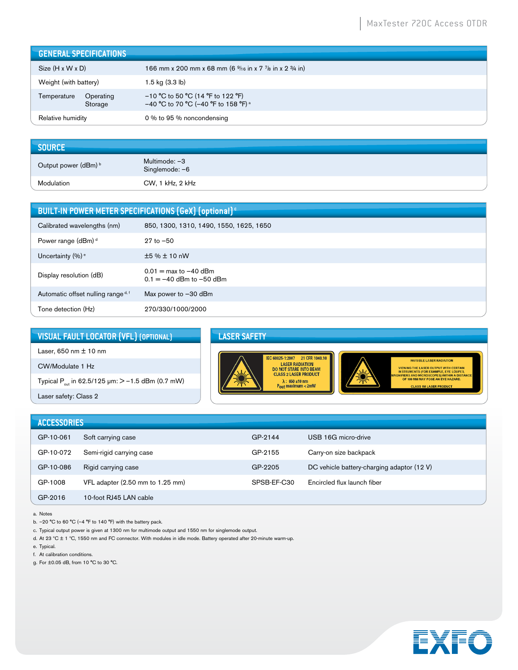| <b>GENERAL SPECIFICATIONS</b>       |                                                                                         |
|-------------------------------------|-----------------------------------------------------------------------------------------|
| $Size (H \times W \times D)$        | 166 mm x 200 mm x 68 mm (6 $\frac{9}{16}$ in x 7 $\frac{7}{8}$ in x 2 $\frac{3}{4}$ in) |
| Weight (with battery)               | 1.5 kg (3.3 lb)                                                                         |
| Operating<br>Temperature<br>Storage | $-10$ °C to 50 °C (14 °F to 122 °F)<br>-40 °C to 70 °C (-40 °F to 158 °F) <sup>a</sup>  |
| Relative humidity                   | 0 % to 95 % noncondensing                                                               |

| <b>SOURCE</b>                   |                                 |
|---------------------------------|---------------------------------|
| Output power (dBm) <sup>b</sup> | Multimode: -3<br>Singlemode: -6 |
| Modulation                      | CW, 1 kHz, 2 kHz                |

| <b>BUILT-IN POWER METER SPECIFICATIONS (GeX) (optional)<sup>c</sup></b> |                                                                         |  |
|-------------------------------------------------------------------------|-------------------------------------------------------------------------|--|
| Calibrated wavelengths (nm)                                             | 850, 1300, 1310, 1490, 1550, 1625, 1650                                 |  |
| Power range (dBm) <sup>d</sup>                                          | $27$ to $-50$                                                           |  |
| Uncertainty $(\%)$ <sup>e</sup>                                         | ±5%±10nW                                                                |  |
| Display resolution (dB)                                                 | $0.01 = \text{max to } -40 \text{ dBm}$<br>$0.1 = -40$ dBm to $-50$ dBm |  |
| Automatic offset nulling range d, f                                     | Max power to $-30$ dBm                                                  |  |
| Tone detection (Hz)                                                     | 270/330/1000/2000                                                       |  |

**VISUAL FAULT LOCATOR (VFL) (OPTIONAL)**

Laser, 650 nm ± 10 nm CW/Modulate 1 Hz

Typical  $P_{out}$  in 62.5/125  $\mu$ m:  $> -1.5$  dBm (0.7 mW)

Laser safety: Class 2

#### **LASER SAFETY**



| <b>ACCESSORIES</b> |                                  |             |                                            |
|--------------------|----------------------------------|-------------|--------------------------------------------|
| GP-10-061          | Soft carrying case               | GP-2144     | USB 16G micro-drive                        |
| GP-10-072          | Semi-rigid carrying case         | GP-2155     | Carry-on size backpack                     |
| GP-10-086          | Rigid carrying case              | GP-2205     | DC vehicle battery-charging adaptor (12 V) |
| GP-1008            | VFL adapter (2.50 mm to 1.25 mm) | SPSB-EF-C30 | Encircled flux launch fiber                |
| GP-2016            | 10-foot RJ45 LAN cable           |             |                                            |

a. Notes

b. –20 °C to 60 °C (–4 °F to 140 °F) with the battery pack.

c. Typical output power is given at 1300 nm for multimode output and 1550 nm for singlemode output.

d. At 23 ºC ± 1 ºC, 1550 nm and FC connector. With modules in idle mode. Battery operated after 20-minute warm-up.

e. Typical.

f. At calibration conditions.

g. For ±0.05 dB, from 10 °C to 30 °C.

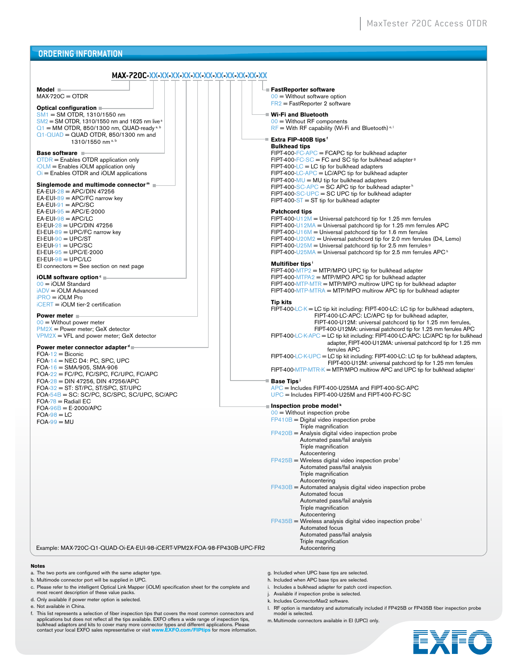#### **ORDERING INFORMATION**

| MAX-720C-XX-XX-XX-XX-XX-XX-XX-XX-XX-XX-XX-XX                                                                                                                                                                                                                                                                                                           |                                                                                                                                                                                                                                                                                                                                                                                                                                                                                                                                    |
|--------------------------------------------------------------------------------------------------------------------------------------------------------------------------------------------------------------------------------------------------------------------------------------------------------------------------------------------------------|------------------------------------------------------------------------------------------------------------------------------------------------------------------------------------------------------------------------------------------------------------------------------------------------------------------------------------------------------------------------------------------------------------------------------------------------------------------------------------------------------------------------------------|
| Model -<br>$MAX-720C = OTDR$<br>Optical configuration ■<br>SM1 = SM OTDR, 1310/1550 nm                                                                                                                                                                                                                                                                 | <b>E</b> FastReporter software<br>$00 =$ Without software option<br>$FR2 = FastReporter 2 software$<br><sup>■</sup> Wi-Fi and Bluetooth                                                                                                                                                                                                                                                                                                                                                                                            |
| $SM2 = SM$ OTDR, 1310/1550 nm and 1625 nm live $a$<br>$Q_1$ = MM OTDR, 850/1300 nm, QUAD-ready <sup>a, b</sup><br>$Q1 - QUAD = QUAD$ OTDR, 850/1300 nm and<br>1310/1550 nm <sup>a,b</sup>                                                                                                                                                              | $00 =$ Without RF components<br>$RF =$ With RF capability (Wi-Fi and Bluetooth) <sup>e, 1</sup><br>■ Extra FIP-400B tips <i>'</i><br><b>Bulkhead tips</b>                                                                                                                                                                                                                                                                                                                                                                          |
| Base software<br>$OTDR$ = Enables OTDR application only<br>$iOLM =$ Enables $iOLM$ application only<br>$\overline{O}$ = Enables OTDR and iOLM applications<br>Singlemode and multimode connector™ ■<br>EA-EUI- $28$ = APC/DIN 47256<br>$EA$ -EUI-89 = APC/FC narrow key<br>$EA$ -EUI-91 = APC/SC<br>$EA$ -EUI-95 = APC/E-2000<br>$EA$ -EUI-98 = APC/LC | FIPT-400-FC-APC = FCAPC tip for bulkhead adapter<br>FIPT-400-FC-SC = FC and SC tip for bulkhead adapter $9$<br>$FIPT-400-LC = LC$ tip for bulkhead adapters<br>$FIPT-400$ -LC-APC = LC/APC tip for bulkhead adapter<br>$FIPT-400-MU = MU$ tip for bulkhead adapters<br>FIPT-400-SC-APC = SC APC tip for bulkhead adapter <sup>h</sup><br>FIPT-400-SC-UPC = SC UPC tip for bulkhead adapter<br>$FIPT-400-ST = ST$ tip for bulkhead adapter<br><b>Patchcord tips</b><br>FIPT-400-U12M = Universal patchcord tip for 1.25 mm ferrules |
| $EI$ -EUI-28 = UPC/DIN 47256<br>$EI$ -EUI-89 = UPC/FC narrow key<br>$EI$ -EUI-90 = UPC/ST<br>$EI$ -EUI-91 = UPC/SC<br>$EI$ -EUI-95 = UPC/E-2000<br>$EI$ -EUI-98 = UPC/LC<br>$El$ connectors = See section on next page                                                                                                                                 | FIPT-400-U12MA = Universal patchcord tip for 1.25 mm ferrules APC<br>FIPT-400-U16M = Universal patchcord tip for 1.6 mm ferrules<br>FIPT-400-U20M2 = Universal patchcord tip for 2.0 mm ferrules (D4, Lemo)<br>FIPT-400-U25M = Universal patchcord tip for 2.5 mm ferrules <sup>9</sup><br>FIPT-400-U25MA = Universal patchcord tip for 2.5 mm ferrules APC <sup>h</sup><br>Multifiber tips<br>$FIPT-400-MTP2 = MTP/MPO UPC$ tip for bulkhead adapter                                                                              |
| iOLM software option <sup>c</sup><br>$00 = iOLM$ Standard<br>iADV = iOLM Advanced<br>$iPRO = iOLM$ Pro<br>$iCERT = iOLM$ tier-2 certification                                                                                                                                                                                                          | FIPT-400-MTPA2 = MTP/MPO APC tip for bulkhead adapter<br>$FIPT-400-MTP-MTR = MTP/MPO$ multirow UPC tip for bulkhead adapter<br>$FIPT-400-MTP-MTRA = MTP/MPO$ multirow APC tip for bulkhead adapter<br><b>Tip kits</b><br>FIPT-400-LC-K = LC tip kit including: FIPT-400-LC: LC tip for bulkhead adapters,                                                                                                                                                                                                                          |
| Power meter<br>$00 =$ Without power meter<br>$PM2X = Power meter$ ; GeX detector<br>$VPM2X = VFL$ and power meter; GeX detector<br>Power meter connector adapter d                                                                                                                                                                                     | FIPT-400-LC-APC: LC/APC tip for bulkhead adapter,<br>FIPT-400-U12M: universal patchcord tip for 1.25 mm ferrules,<br>FIPT-400-U12MA: universal patchcord tip for 1.25 mm ferrules APC<br>FIPT-400-LC-K-APC = LC tip kit including: FIPT-400-LC-APC: LC/APC tip for bulkhead<br>adapter, FIPT-400-U12MA: universal patchcord tip for 1.25 mm<br>ferrules APC                                                                                                                                                                        |
| $FOA-12 = Biconic$<br>FOA-14 = NEC D4: PC, SPC, UPC<br>$FOA-16 = SMA/905$ , SMA-906<br>$FOA-22 = FC/PC$ , $FC/SPC$ , $FC/UPC$ , $FC/APC$<br>FOA- $28 =$ DIN 47256, DIN 47256/APC<br>$FOA-32 = ST: ST/PC, ST/SPC, ST/UPC$<br>$FOA-54B = SC: SC/PC, SC/SPC, SC/UPC, SC/APC$<br>$FOA-78 = RadialEC$                                                       | FIPT-400-LC-K-UPC = LC tip kit including: FIPT-400-LC: LC tip for bulkhead adapters,<br>FIPT-400-U12M: universal patchcord tip for 1.25 mm ferrules<br>$FIPT-400-MTP-MTR-K = MTP/MPO$ multirow APC and UPC tip for bulkhead adapter<br>■ Base Tips <sup>」</sup><br>APC = Includes FIPT-400-U25MA and FIPT-400-SC-APC<br>$UPC$ = Includes FIPT-400-U25M and FIPT-400-FC-SC                                                                                                                                                          |
| $FOA-96B = E-2000/APC$                                                                                                                                                                                                                                                                                                                                 | ■ Inspection probe model <sup>k</sup>                                                                                                                                                                                                                                                                                                                                                                                                                                                                                              |
| $FOA-98 = LC$<br>$FOA-99 = MU$                                                                                                                                                                                                                                                                                                                         | $00 =$ Without inspection probe<br>$FP410B = Digital video inspection probe$<br>Triple magnification<br>$FP420B$ = Analysis digital video inspection probe                                                                                                                                                                                                                                                                                                                                                                         |
|                                                                                                                                                                                                                                                                                                                                                        | Automated pass/fail analysis<br>Triple magnification<br>Autocentering                                                                                                                                                                                                                                                                                                                                                                                                                                                              |
|                                                                                                                                                                                                                                                                                                                                                        | $FP425B$ = Wireless digital video inspection probe <sup>1</sup><br>Automated pass/fail analysis<br>Triple magnification<br>Autocentering                                                                                                                                                                                                                                                                                                                                                                                           |
|                                                                                                                                                                                                                                                                                                                                                        | $FP430B =$ Automated analysis digital video inspection probe<br>Automated focus<br>Automated pass/fail analysis<br>Triple magnification<br>Autocentering                                                                                                                                                                                                                                                                                                                                                                           |
|                                                                                                                                                                                                                                                                                                                                                        | $FP435B =$ Wireless analysis digital video inspection probe<br>Automated focus<br>Automated pass/fail analysis                                                                                                                                                                                                                                                                                                                                                                                                                     |
| Example: MAX-720C-Q1-QUAD-Oi-EA-EUI-98-iCERT-VPM2X-FOA-98-FP430B-UPC-FR2                                                                                                                                                                                                                                                                               | Triple magnification<br>Autocentering                                                                                                                                                                                                                                                                                                                                                                                                                                                                                              |
|                                                                                                                                                                                                                                                                                                                                                        |                                                                                                                                                                                                                                                                                                                                                                                                                                                                                                                                    |
| Notes<br>a. The two ports are configured with the same adapter type                                                                                                                                                                                                                                                                                    | g. Included when UPC base tips are selected                                                                                                                                                                                                                                                                                                                                                                                                                                                                                        |

- a. The two ports are configured with the same adapter type.
- b. Multimode connector port will be supplied in UPC.
- c. Please refer to the intelligent Optical Link Mapper (iOLM) specification sheet for the complete and most recent description of these value packs.
- d. Only available if power meter option is selected.
- e. Not available in China.
- f. This list represents a selection of fiber inspection tips that covers the most common connectors and applications but does not reflect all the tips available. EXFO offers a wide range of inspection tips, bulkhead adapto
- g. Included when UPC base tips are selected.
- h. Included when APC base tips are selected.
- i. Includes a bulkhead adapter for patch cord inspection.
- j. Available if inspection probe is selected.
- k. Includes ConnectorMax2 software.
- l. RF option is mandatory and automatically included if FP425B or FP435B fiber inspection probe model is selected.

m. Multimode connectors available in EI (UPC) only.